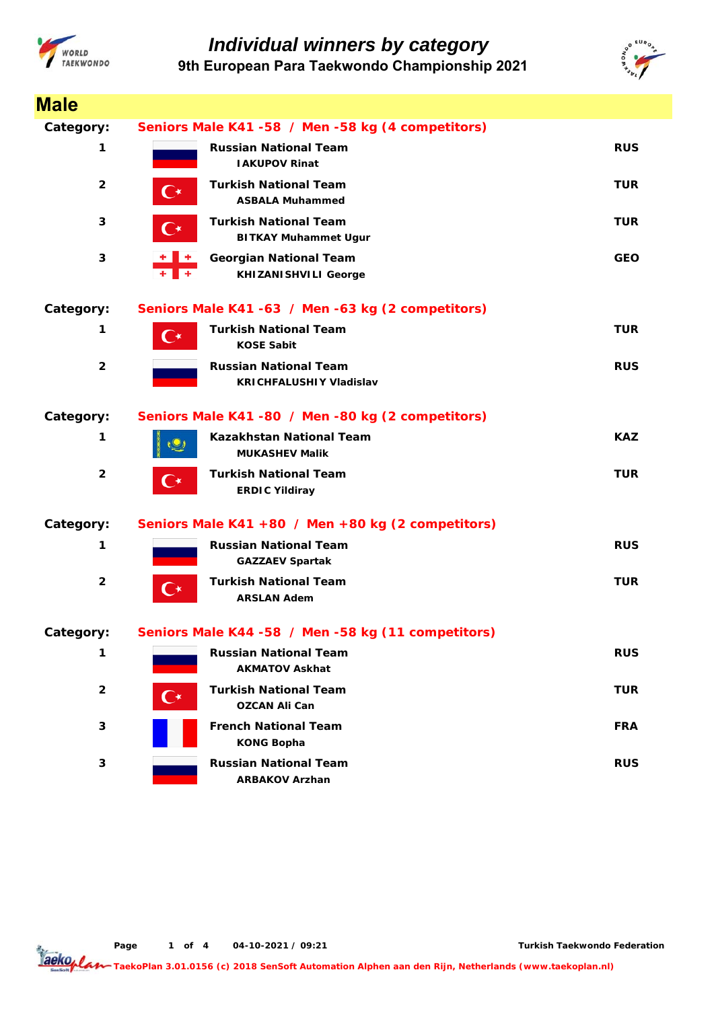



| <b>Male</b>             |                                                                        |            |
|-------------------------|------------------------------------------------------------------------|------------|
| Category:               | Seniors Male K41 -58 / Men -58 kg (4 competitors)                      |            |
| 1                       | <b>Russian National Team</b><br><b>IAKUPOV Rinat</b>                   | <b>RUS</b> |
| $\overline{2}$          | <b>Turkish National Team</b><br>C∗<br><b>ASBALA Muhammed</b>           | <b>TUR</b> |
| 3                       | <b>Turkish National Team</b><br>C∗<br><b>BITKAY Muhammet Ugur</b>      | <b>TUR</b> |
| 3                       | +    +<br><b>Georgian National Team</b><br><b>KHIZANISHVILI George</b> | <b>GEO</b> |
| Category:               | Seniors Male K41 -63 / Men -63 kg (2 competitors)                      |            |
| 1                       | <b>Turkish National Team</b><br>$\mathsf{C}\star$<br><b>KOSE Sabit</b> | <b>TUR</b> |
| $\overline{\mathbf{2}}$ | <b>Russian National Team</b><br><b>KRICHFALUSHIY Vladislav</b>         | <b>RUS</b> |
| Category:               | Seniors Male K41 -80 / Men -80 kg (2 competitors)                      |            |
| 1                       | Kazakhstan National Team<br><b>MUKASHEV Malik</b>                      | <b>KAZ</b> |
| $\overline{2}$          | <b>Turkish National Team</b><br>( ∗<br><b>ERDIC Yildiray</b>           | <b>TUR</b> |
| Category:               | Seniors Male K41 +80 / Men +80 kg (2 competitors)                      |            |
| 1                       | <b>Russian National Team</b><br><b>GAZZAEV Spartak</b>                 | <b>RUS</b> |
| $\overline{2}$          | <b>Turkish National Team</b><br><b>ARSLAN Adem</b>                     | <b>TUR</b> |
| Category:               | Seniors Male K44 -58 / Men -58 kg (11 competitors)                     |            |
| 1                       | <b>Russian National Team</b><br><b>AKMATOV Askhat</b>                  | <b>RUS</b> |
| $\overline{\mathbf{2}}$ | <b>Turkish National Team</b><br>( ∗<br><b>OZCAN Ali Can</b>            | <b>TUR</b> |
| 3                       | <b>French National Team</b><br><b>KONG Bopha</b>                       | <b>FRA</b> |
| 3                       | <b>Russian National Team</b><br><b>ARBAKOV Arzhan</b>                  | <b>RUS</b> |

**Page o 1 f 4 04-10-2021 / 09:21**

**Turkish Taekwondo Federation**

Taekoplan **TaekoPlan 3.01.0156 (c) 2018 SenSoft Automation Alphen aan den Rijn, Netherlands (www.taekoplan.nl)**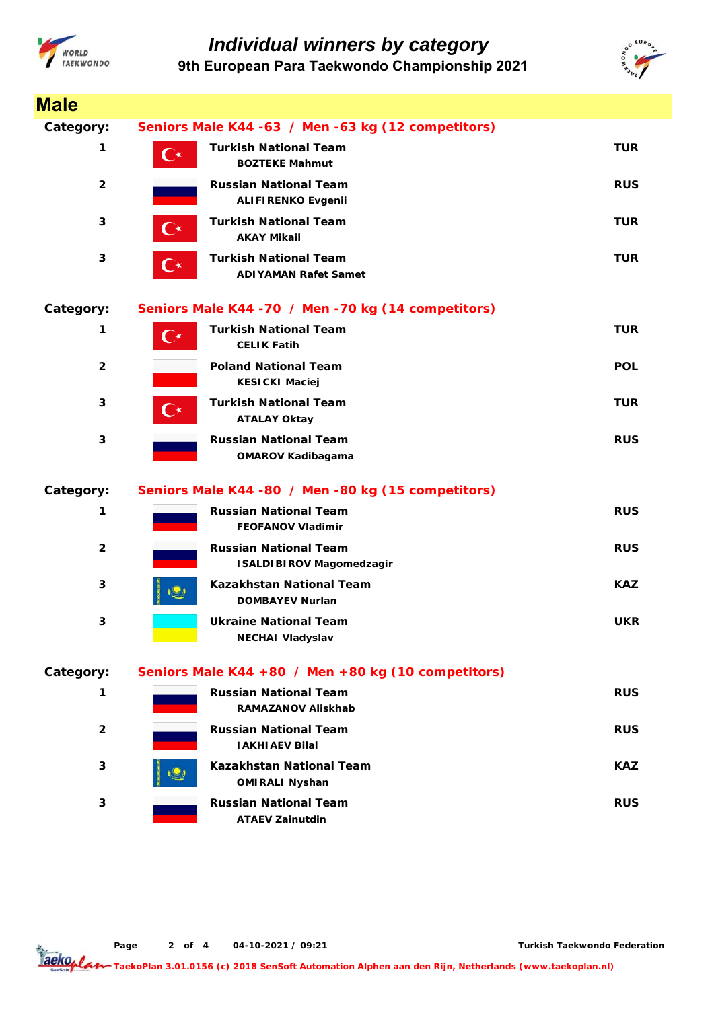



| <b>Male</b>    |                                                                             |            |
|----------------|-----------------------------------------------------------------------------|------------|
| Category:      | Seniors Male K44 -63 / Men -63 kg (12 competitors)                          |            |
| 1              | <b>Turkish National Team</b><br>$\mathbf{C}^\star$<br><b>BOZTEKE Mahmut</b> | <b>TUR</b> |
| $\overline{2}$ | <b>Russian National Team</b><br><b>ALIFIRENKO Evgenii</b>                   | <b>RUS</b> |
| 3              | <b>Turkish National Team</b><br>( ∗<br><b>AKAY Mikail</b>                   | TUR        |
| 3              | <b>Turkish National Team</b><br>C∗<br><b>ADIYAMAN Rafet Samet</b>           | <b>TUR</b> |
| Category:      | Seniors Male K44 - 70 / Men - 70 kg (14 competitors)                        |            |
| 1              | <b>Turkish National Team</b><br>$\mathsf{C}^\star$<br><b>CELIK Fatih</b>    | <b>TUR</b> |
| $\overline{2}$ | <b>Poland National Team</b><br><b>KESICKI Maciej</b>                        | <b>POL</b> |
| 3              | <b>Turkish National Team</b><br>C∗<br><b>ATALAY Oktay</b>                   | <b>TUR</b> |
| 3              | <b>Russian National Team</b><br><b>OMAROV Kadibagama</b>                    | <b>RUS</b> |
| Category:      | Seniors Male K44 -80 / Men -80 kg (15 competitors)                          |            |
| 1              | <b>Russian National Team</b><br><b>FEOFANOV Vladimir</b>                    | <b>RUS</b> |
| $\overline{2}$ | <b>Russian National Team</b><br><b>ISALDIBIROV Magomedzagir</b>             | <b>RUS</b> |
| 3              | <b>Kazakhstan National Team</b><br><b>DOMBAYEV Nurlan</b>                   | <b>KAZ</b> |
| 3              | <b>Ukraine National Team</b><br><b>NECHAI Vladyslav</b>                     | <b>UKR</b> |
| Category:      | Seniors Male K44 +80 / Men +80 kg (10 competitors)                          |            |
| 1              | <b>Russian National Team</b><br><b>RAMAZANOV Aliskhab</b>                   | <b>RUS</b> |
| $\overline{2}$ | <b>Russian National Team</b><br><b>IAKHIAEV Bilal</b>                       | <b>RUS</b> |
| 3              | <b>Kazakhstan National Team</b><br><b>OMIRALI Nyshan</b>                    | <b>KAZ</b> |
| 3              | <b>Russian National Team</b><br><b>ATAEV Zainutdin</b>                      | <b>RUS</b> |

**Page o 2 f 4 04-10-2021 / 09:21**

**Turkish Taekwondo Federation**

Taekoplan **TaekoPlan 3.01.0156 (c) 2018 SenSoft Automation Alphen aan den Rijn, Netherlands (www.taekoplan.nl)**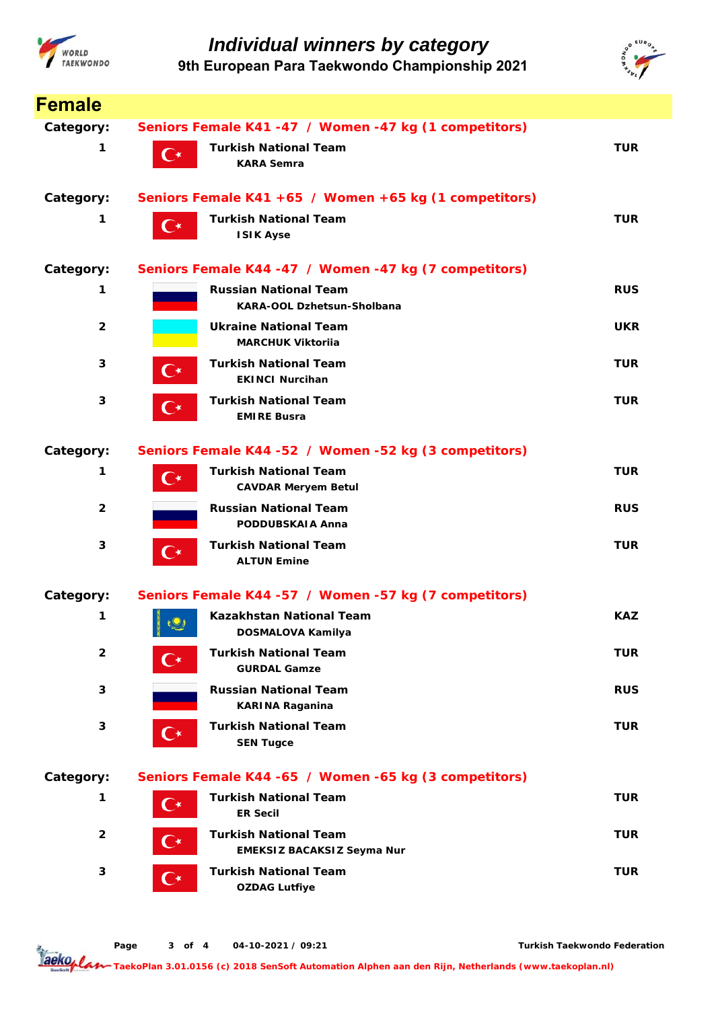



| <b>Female</b>  |                                                                                 |            |
|----------------|---------------------------------------------------------------------------------|------------|
| Category:      | Seniors Female K41 -47 / Women -47 kg (1 competitors)                           |            |
| 1              | <b>Turkish National Team</b><br>$\mathsf{C}^\star$<br><b>KARA Semra</b>         | <b>TUR</b> |
| Category:      | Seniors Female K41 +65 / Women +65 kg (1 competitors)                           |            |
| 1              | <b>Turkish National Team</b><br>$\mathsf{C}\star$<br><b>ISIK Ayse</b>           | <b>TUR</b> |
| Category:      | Seniors Female K44 -47 / Women -47 kg (7 competitors)                           |            |
| 1              | <b>Russian National Team</b><br><b>KARA-OOL Dzhetsun-Sholbana</b>               | <b>RUS</b> |
| $\overline{2}$ | <b>Ukraine National Team</b><br><b>MARCHUK Viktorija</b>                        | <b>UKR</b> |
| 3              | <b>Turkish National Team</b><br>$\mathsf{C}\star$<br><b>EKINCI Nurcihan</b>     | <b>TUR</b> |
| 3              | <b>Turkish National Team</b><br>( ∗<br><b>EMIRE Busra</b>                       | <b>TUR</b> |
| Category:      | Seniors Female K44 -52 / Women -52 kg (3 competitors)                           |            |
| 1              | <b>Turkish National Team</b><br>$\mathsf{C}\star$<br><b>CAVDAR Meryem Betul</b> | <b>TUR</b> |
| $\mathbf{2}$   | <b>Russian National Team</b><br>PODDUBSKAIA Anna                                | <b>RUS</b> |
| 3              | <b>Turkish National Team</b><br>( ∗<br><b>ALTUN Emine</b>                       | <b>TUR</b> |
| Category:      | Seniors Female K44 -57 / Women -57 kg (7 competitors)                           |            |
| 1              | Kazakhstan National Team<br>$\sqrt{2}$<br>DOSMALOVA Kamilya                     | <b>KAZ</b> |
| $\overline{2}$ | <b>Turkish National Team</b><br>C∗<br><b>GURDAL Gamze</b>                       | <b>TUR</b> |
| 3              | <b>Russian National Team</b><br><b>KARINA Raganina</b>                          | <b>RUS</b> |
| 3              | <b>Turkish National Team</b><br>$\mathbf{C}^{\star}$<br><b>SEN Tugce</b>        | <b>TUR</b> |
| Category:      | Seniors Female K44 -65 / Women -65 kg (3 competitors)                           |            |
| 1              | <b>Turkish National Team</b><br>$\mathbf{C}^{\star}$<br><b>ER Secil</b>         | <b>TUR</b> |
| $\overline{2}$ | <b>Turkish National Team</b><br>C∗<br>EMEKSIZ BACAKSIZ Seyma Nur                | <b>TUR</b> |
| 3              | <b>Turkish National Team</b><br>$\mathbf{C}^{\star}$<br><b>OZDAG Lutfiye</b>    | <b>TUR</b> |

**Page o 3 f 4 04-10-2021 / 09:21**

**Turkish Taekwondo Federation**

Taekoplan **TaekoPlan 3.01.0156 (c) 2018 SenSoft Automation Alphen aan den Rijn, Netherlands (www.taekoplan.nl)**